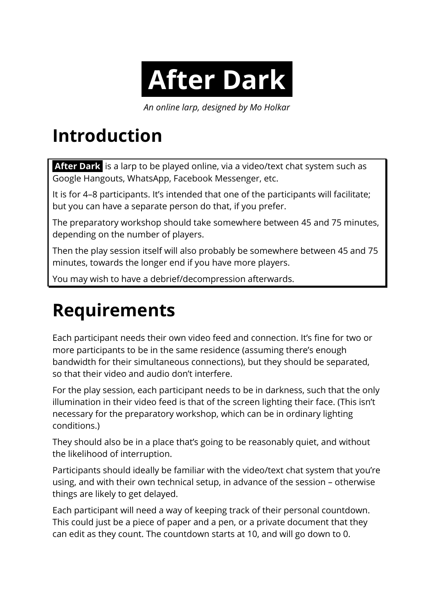*An online larp, designed by Mo Holkar*

### **Introduction**

**After Dark** is a larp to be played online, via a video/text chat system such as Google Hangouts, WhatsApp, Facebook Messenger, etc.

It is for 4–8 participants. It's intended that one of the participants will facilitate; but you can have a separate person do that, if you prefer.

The preparatory workshop should take somewhere between 45 and 75 minutes, depending on the number of players.

Then the play session itself will also probably be somewhere between 45 and 75 minutes, towards the longer end if you have more players.

You may wish to have a debrief/decompression afterwards.

# **Requirements**

Each participant needs their own video feed and connection. It's fine for two or more participants to be in the same residence (assuming there's enough bandwidth for their simultaneous connections), but they should be separated, so that their video and audio don't interfere.

For the play session, each participant needs to be in darkness, such that the only illumination in their video feed is that of the screen lighting their face. (This isn't necessary for the preparatory workshop, which can be in ordinary lighting conditions.)

They should also be in a place that's going to be reasonably quiet, and without the likelihood of interruption.

Participants should ideally be familiar with the video/text chat system that you're using, and with their own technical setup, in advance of the session – otherwise things are likely to get delayed.

Each participant will need a way of keeping track of their personal countdown. This could just be a piece of paper and a pen, or a private document that they can edit as they count. The countdown starts at 10, and will go down to 0.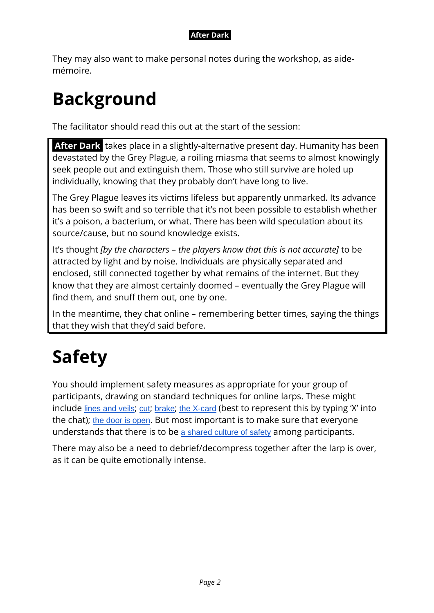They may also want to make personal notes during the workshop, as aidemémoire.

### **Background**

The facilitator should read this out at the start of the session:

**After Dark** takes place in a slightly-alternative present day. Humanity has been devastated by the Grey Plague, a roiling miasma that seems to almost knowingly seek people out and extinguish them. Those who still survive are holed up individually, knowing that they probably don't have long to live.

The Grey Plague leaves its victims lifeless but apparently unmarked. Its advance has been so swift and so terrible that it's not been possible to establish whether it's a poison, a bacterium, or what. There has been wild speculation about its source/cause, but no sound knowledge exists.

It's thought *[by the characters – the players know that this is not accurate]* to be attracted by light and by noise. Individuals are physically separated and enclosed, still connected together by what remains of the internet. But they know that they are almost certainly doomed – eventually the Grey Plague will find them, and snuff them out, one by one.

In the meantime, they chat online – remembering better times, saying the things that they wish that they'd said before.

# **Safety**

You should implement safety measures as appropriate for your group of participants, drawing on standard techniques for online larps. These might include [lines and veils](http://blog.ukg.co.uk/anonymous-lines-veils/); [cut](https://nordiclarp.org/wiki/Kutt); [brake](https://nordiclarp.org/wiki/Brems); [the X-card](https://docs.google.com/document/d/1SB0jsx34bWHZWbnNIVVuMjhDkrdFGo1_hSC2BWPlI3A/edit) (best to represent this by typing 'X' into the chat); [the door is open](https://leavingmundania.com/2014/02/27/primer-safety-in-roleplaying-games/). But most important is to make sure that everyone understands that there is to be [a shared culture of safety](https://leavingmundania.com/2015/08/04/your-larps-only-as-safe-as-its-safety-culture/) among participants.

There may also be a need to debrief/decompress together after the larp is over, as it can be quite emotionally intense.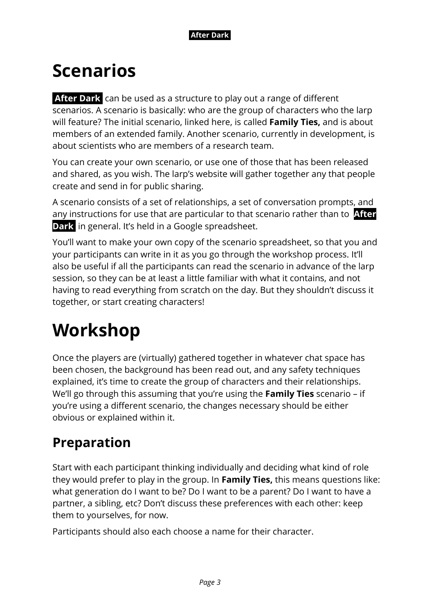

### **Scenarios**

**After Dark** can be used as a structure to play out a range of different scenarios. A scenario is basically: who are the group of characters who the larp will feature? The initial scenario, linked here, is called **Family Ties,** and is about members of an extended family. Another scenario, currently in development, is about scientists who are members of a research team.

You can create your own scenario, or use one of those that has been released and shared, as you wish. The larp's website will gather together any that people create and send in for public sharing.

A scenario consists of a set of relationships, a set of conversation prompts, and any instructions for use that are particular to that scenario rather than to **After Dark** in general. It's held in a Google spreadsheet.

You'll want to make your own copy of the scenario spreadsheet, so that you and your participants can write in it as you go through the workshop process. It'll also be useful if all the participants can read the scenario in advance of the larp session, so they can be at least a little familiar with what it contains, and not having to read everything from scratch on the day. But they shouldn't discuss it together, or start creating characters!

### **Workshop**

Once the players are (virtually) gathered together in whatever chat space has been chosen, the background has been read out, and any safety techniques explained, it's time to create the group of characters and their relationships. We'll go through this assuming that you're using the **Family Ties** scenario – if you're using a different scenario, the changes necessary should be either obvious or explained within it.

### **Preparation**

Start with each participant thinking individually and deciding what kind of role they would prefer to play in the group. In **Family Ties,** this means questions like: what generation do I want to be? Do I want to be a parent? Do I want to have a partner, a sibling, etc? Don't discuss these preferences with each other: keep them to yourselves, for now.

Participants should also each choose a name for their character.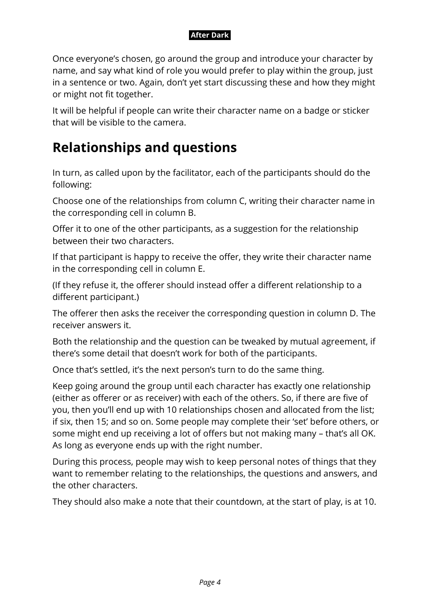Once everyone's chosen, go around the group and introduce your character by name, and say what kind of role you would prefer to play within the group, just in a sentence or two. Again, don't yet start discussing these and how they might or might not fit together.

It will be helpful if people can write their character name on a badge or sticker that will be visible to the camera.

### **Relationships and questions**

In turn, as called upon by the facilitator, each of the participants should do the following:

Choose one of the relationships from column C, writing their character name in the corresponding cell in column B.

Offer it to one of the other participants, as a suggestion for the relationship between their two characters.

If that participant is happy to receive the offer, they write their character name in the corresponding cell in column E.

(If they refuse it, the offerer should instead offer a different relationship to a different participant.)

The offerer then asks the receiver the corresponding question in column D. The receiver answers it.

Both the relationship and the question can be tweaked by mutual agreement, if there's some detail that doesn't work for both of the participants.

Once that's settled, it's the next person's turn to do the same thing.

Keep going around the group until each character has exactly one relationship (either as offerer or as receiver) with each of the others. So, if there are five of you, then you'll end up with 10 relationships chosen and allocated from the list; if six, then 15; and so on. Some people may complete their 'set' before others, or some might end up receiving a lot of offers but not making many – that's all OK. As long as everyone ends up with the right number.

During this process, people may wish to keep personal notes of things that they want to remember relating to the relationships, the questions and answers, and the other characters.

They should also make a note that their countdown, at the start of play, is at 10.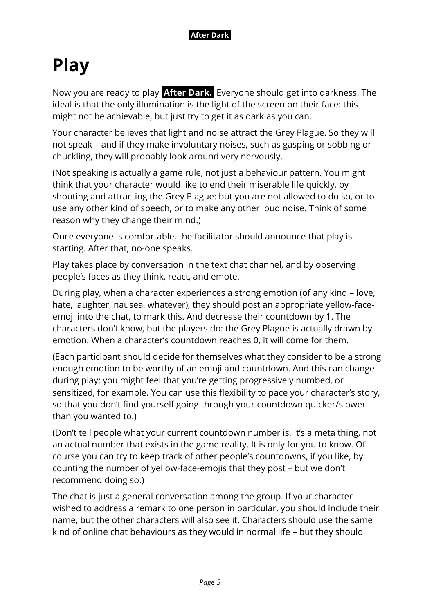### **Play**

Now you are ready to play **After Dark.** Everyone should get into darkness. The ideal is that the only illumination is the light of the screen on their face: this might not be achievable, but just try to get it as dark as you can.

Your character believes that light and noise attract the Grey Plague. So they will not speak – and if they make involuntary noises, such as gasping or sobbing or chuckling, they will probably look around very nervously.

(Not speaking is actually a game rule, not just a behaviour pattern. You might think that your character would like to end their miserable life quickly, by shouting and attracting the Grey Plague: but you are not allowed to do so, or to use any other kind of speech, or to make any other loud noise. Think of some reason why they change their mind.)

Once everyone is comfortable, the facilitator should announce that play is starting. After that, no-one speaks.

Play takes place by conversation in the text chat channel, and by observing people's faces as they think, react, and emote.

During play, when a character experiences a strong emotion (of any kind – love, hate, laughter, nausea, whatever), they should post an appropriate yellow-faceemoji into the chat, to mark this. And decrease their countdown by 1. The characters don't know, but the players do: the Grey Plague is actually drawn by emotion. When a character's countdown reaches 0, it will come for them.

(Each participant should decide for themselves what they consider to be a strong enough emotion to be worthy of an emoji and countdown. And this can change during play: you might feel that you're getting progressively numbed, or sensitized, for example. You can use this flexibility to pace your character's story, so that you don't find yourself going through your countdown quicker/slower than you wanted to.)

(Don't tell people what your current countdown number is. It's a meta thing, not an actual number that exists in the game reality. It is only for you to know. Of course you can try to keep track of other people's countdowns, if you like, by counting the number of yellow-face-emojis that they post – but we don't recommend doing so.)

The chat is just a general conversation among the group. If your character wished to address a remark to one person in particular, you should include their name, but the other characters will also see it. Characters should use the same kind of online chat behaviours as they would in normal life – but they should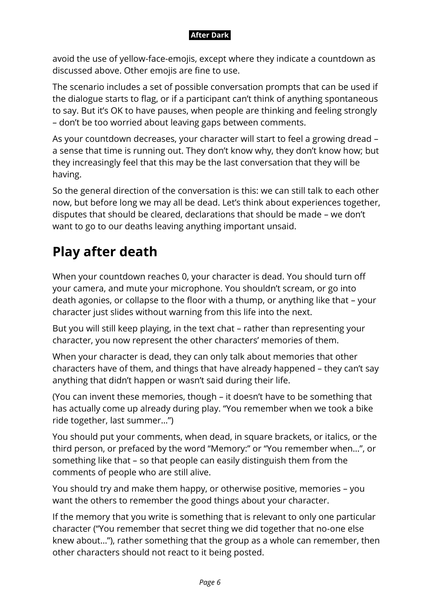avoid the use of yellow-face-emojis, except where they indicate a countdown as discussed above. Other emojis are fine to use.

The scenario includes a set of possible conversation prompts that can be used if the dialogue starts to flag, or if a participant can't think of anything spontaneous to say. But it's OK to have pauses, when people are thinking and feeling strongly – don't be too worried about leaving gaps between comments.

As your countdown decreases, your character will start to feel a growing dread – a sense that time is running out. They don't know why, they don't know how; but they increasingly feel that this may be the last conversation that they will be having.

So the general direction of the conversation is this: we can still talk to each other now, but before long we may all be dead. Let's think about experiences together, disputes that should be cleared, declarations that should be made – we don't want to go to our deaths leaving anything important unsaid.

### **Play after death**

When your countdown reaches 0, your character is dead. You should turn off your camera, and mute your microphone. You shouldn't scream, or go into death agonies, or collapse to the floor with a thump, or anything like that – your character just slides without warning from this life into the next.

But you will still keep playing, in the text chat – rather than representing your character, you now represent the other characters' memories of them.

When your character is dead, they can only talk about memories that other characters have of them, and things that have already happened – they can't say anything that didn't happen or wasn't said during their life.

(You can invent these memories, though – it doesn't have to be something that has actually come up already during play. "You remember when we took a bike ride together, last summer…")

You should put your comments, when dead, in square brackets, or italics, or the third person, or prefaced by the word "Memory:" or "You remember when…", or something like that – so that people can easily distinguish them from the comments of people who are still alive.

You should try and make them happy, or otherwise positive, memories – you want the others to remember the good things about your character.

If the memory that you write is something that is relevant to only one particular character ("You remember that secret thing we did together that no-one else knew about…"), rather something that the group as a whole can remember, then other characters should not react to it being posted.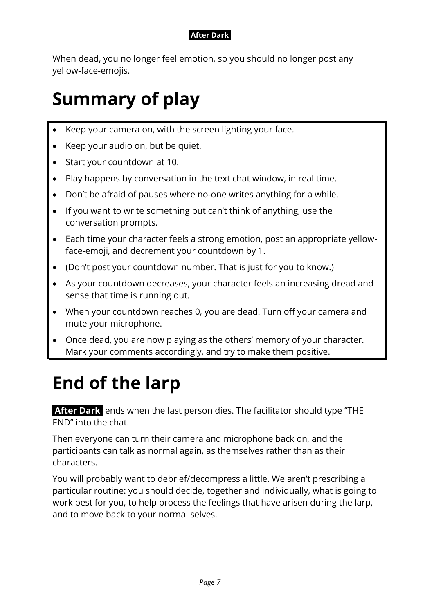When dead, you no longer feel emotion, so you should no longer post any yellow-face-emojis.

### **Summary of play**

- Keep your camera on, with the screen lighting your face.
- Keep your audio on, but be quiet.
- Start your countdown at 10.
- Play happens by conversation in the text chat window, in real time.
- Don't be afraid of pauses where no-one writes anything for a while.
- If you want to write something but can't think of anything, use the conversation prompts.
- Each time your character feels a strong emotion, post an appropriate yellowface-emoji, and decrement your countdown by 1.
- (Don't post your countdown number. That is just for you to know.)
- As your countdown decreases, your character feels an increasing dread and sense that time is running out.
- When your countdown reaches 0, you are dead. Turn off your camera and mute your microphone.
- Once dead, you are now playing as the others' memory of your character. Mark your comments accordingly, and try to make them positive.

# **End of the larp**

**After Dark** ends when the last person dies. The facilitator should type "THE END" into the chat.

Then everyone can turn their camera and microphone back on, and the participants can talk as normal again, as themselves rather than as their characters.

You will probably want to debrief/decompress a little. We aren't prescribing a particular routine: you should decide, together and individually, what is going to work best for you, to help process the feelings that have arisen during the larp, and to move back to your normal selves.